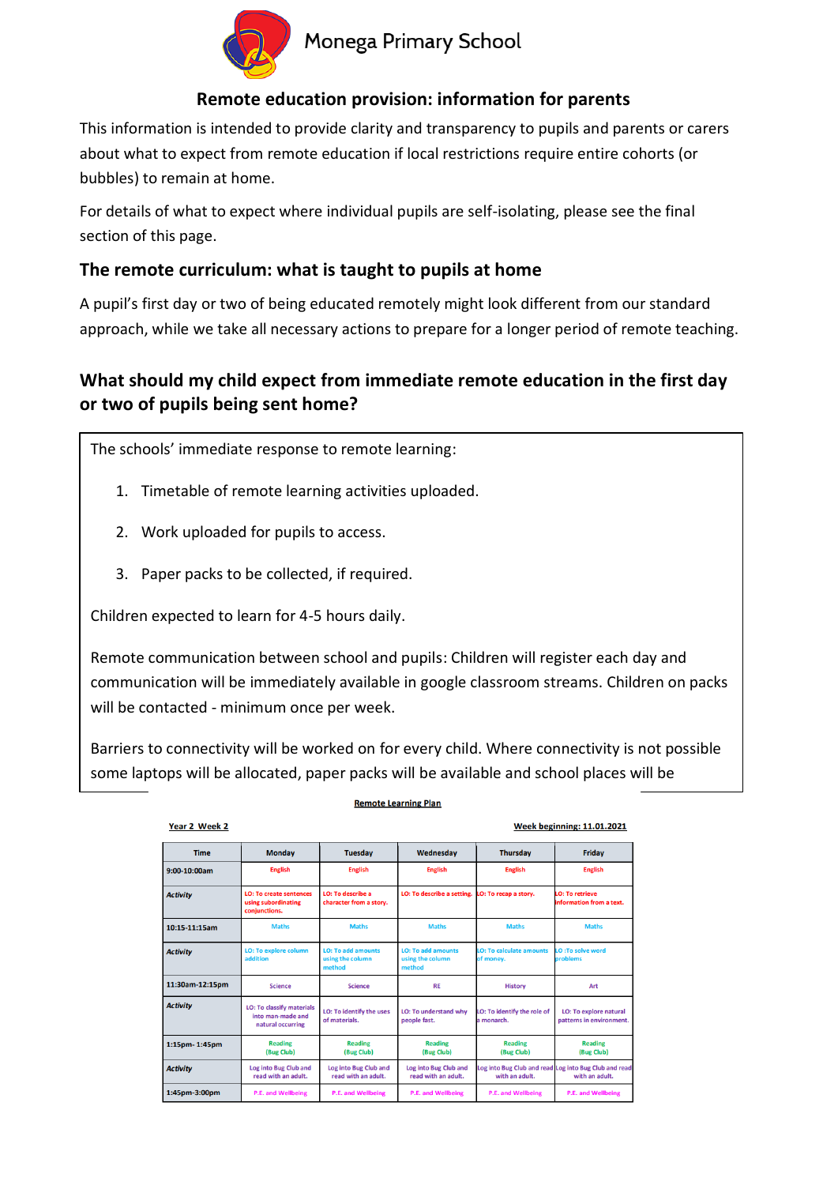

# Monega Primary School

### **Remote education provision: information for parents**

This information is intended to provide clarity and transparency to pupils and parents or carers about what to expect from remote education if local restrictions require entire cohorts (or bubbles) to remain at home.

For details of what to expect where individual pupils are self-isolating, please see the final section of this page.

#### **The remote curriculum: what is taught to pupils at home**

A pupil's first day or two of being educated remotely might look different from our standard approach, while we take all necessary actions to prepare for a longer period of remote teaching.

## **What should my child expect from immediate remote education in the first day or two of pupils being sent home?**

The schools' immediate response to remote learning:

- 1. Timetable of remote learning activities uploaded.
- 2. Work uploaded for pupils to access.
- 3. Paper packs to be collected, if required.

Children expected to learn for 4-5 hours daily.

available.

Remote communication between school and pupils: Children will register each day and communication will be immediately available in google classroom streams. Children on packs will be contacted - minimum once per week.

Barriers to connectivity will be worked on for every child. Where connectivity is not possible some laptops will be allocated, paper packs will be available and school places will be

**Remote Learning Plan** 

| Year 2 Week 2   |                                                                            |                                                         |                                                         |                                           | <b>Week beginning: 11.01.2021</b>                                       |
|-----------------|----------------------------------------------------------------------------|---------------------------------------------------------|---------------------------------------------------------|-------------------------------------------|-------------------------------------------------------------------------|
| <b>Time</b>     | <b>Monday</b>                                                              | <b>Tuesday</b>                                          | Wednesday                                               | <b>Thursday</b>                           | Friday                                                                  |
| $9:00-10:00am$  | <b>English</b>                                                             | <b>English</b>                                          | <b>English</b>                                          | <b>English</b>                            | <b>English</b>                                                          |
| <b>Activity</b> | <b>LO: To create sentences</b><br>using subordinating<br>conjunctions.     | <b>LO: To describe a</b><br>character from a story.     | LO: To describe a setting.                              | LO: To recap a story.                     | <b>O: To retrieve</b><br>information from a text.                       |
| 10:15-11:15am   | <b>Maths</b>                                                               | <b>Maths</b>                                            | <b>Maths</b>                                            | <b>Maths</b>                              | <b>Maths</b>                                                            |
| <b>Activity</b> | <b>LO: To explore column</b><br>addition                                   | <b>LO: To add amounts</b><br>using the column<br>method | <b>LO: To add amounts</b><br>using the column<br>method | LO: To calculate amounts<br>of money.     | D:To solve word<br>problems                                             |
| 11:30am-12:15pm | <b>Science</b>                                                             | <b>Science</b>                                          | <b>RE</b>                                               | <b>History</b>                            | Art                                                                     |
| <b>Activity</b> | <b>LO: To classify materials</b><br>into man-made and<br>natural occurring | <b>LO: To identify the uses</b><br>of materials.        | LO: To understand why<br>people fast.                   | LO: To identify the role of<br>a monarch. | <b>LO: To explore natural</b><br>patterns in environment.               |
| 1:15pm-1:45pm   | <b>Reading</b><br>(Bug Club)                                               | <b>Reading</b><br>(Bug Club)                            | <b>Reading</b><br>(Bug Club)                            | <b>Reading</b><br>(Bug Club)              | <b>Reading</b><br>(Bug Club)                                            |
| <b>Activity</b> | Log into Bug Club and<br>read with an adult.                               | Log into Bug Club and<br>read with an adult.            | Log into Bug Club and<br>read with an adult.            | with an adult.                            | Log into Bug Club and read Log into Bug Club and read<br>with an adult. |
| 1:45pm-3:00pm   | <b>P.E. and Wellbeing</b>                                                  | P.E. and Wellbeing                                      | <b>P.E. and Wellbeing</b>                               | <b>P.E. and Wellbeing</b>                 | P.E. and Wellbeing                                                      |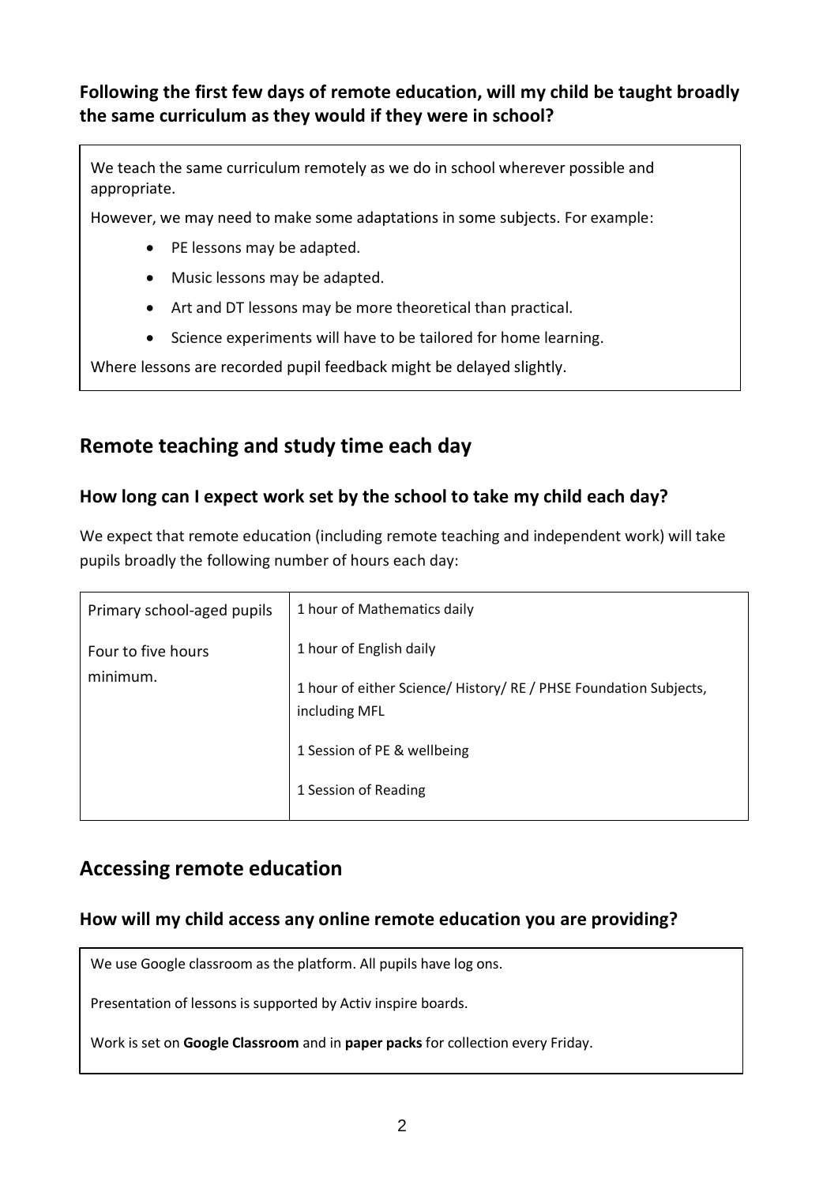**Following the first few days of remote education, will my child be taught broadly the same curriculum as they would if they were in school?**

We teach the same curriculum remotely as we do in school wherever possible and appropriate.

However, we may need to make some adaptations in some subjects. For example:

- PE lessons may be adapted.
- Music lessons may be adapted.
- Art and DT lessons may be more theoretical than practical.
- Science experiments will have to be tailored for home learning.

Where lessons are recorded pupil feedback might be delayed slightly.

# **Remote teaching and study time each day**

### **How long can I expect work set by the school to take my child each day?**

We expect that remote education (including remote teaching and independent work) will take pupils broadly the following number of hours each day:

| Primary school-aged pupils | 1 hour of Mathematics daily                                                        |  |  |  |
|----------------------------|------------------------------------------------------------------------------------|--|--|--|
| Four to five hours         | 1 hour of English daily                                                            |  |  |  |
| minimum.                   | 1 hour of either Science/ History/ RE / PHSE Foundation Subjects,<br>including MFL |  |  |  |
|                            | 1 Session of PE & wellbeing                                                        |  |  |  |
|                            | 1 Session of Reading                                                               |  |  |  |

# **Accessing remote education**

### **How will my child access any online remote education you are providing?**

We use Google classroom as the platform. All pupils have log ons.

Presentation of lessons is supported by Activ inspire boards.

Work is set on **Google Classroom** and in **paper packs** for collection every Friday.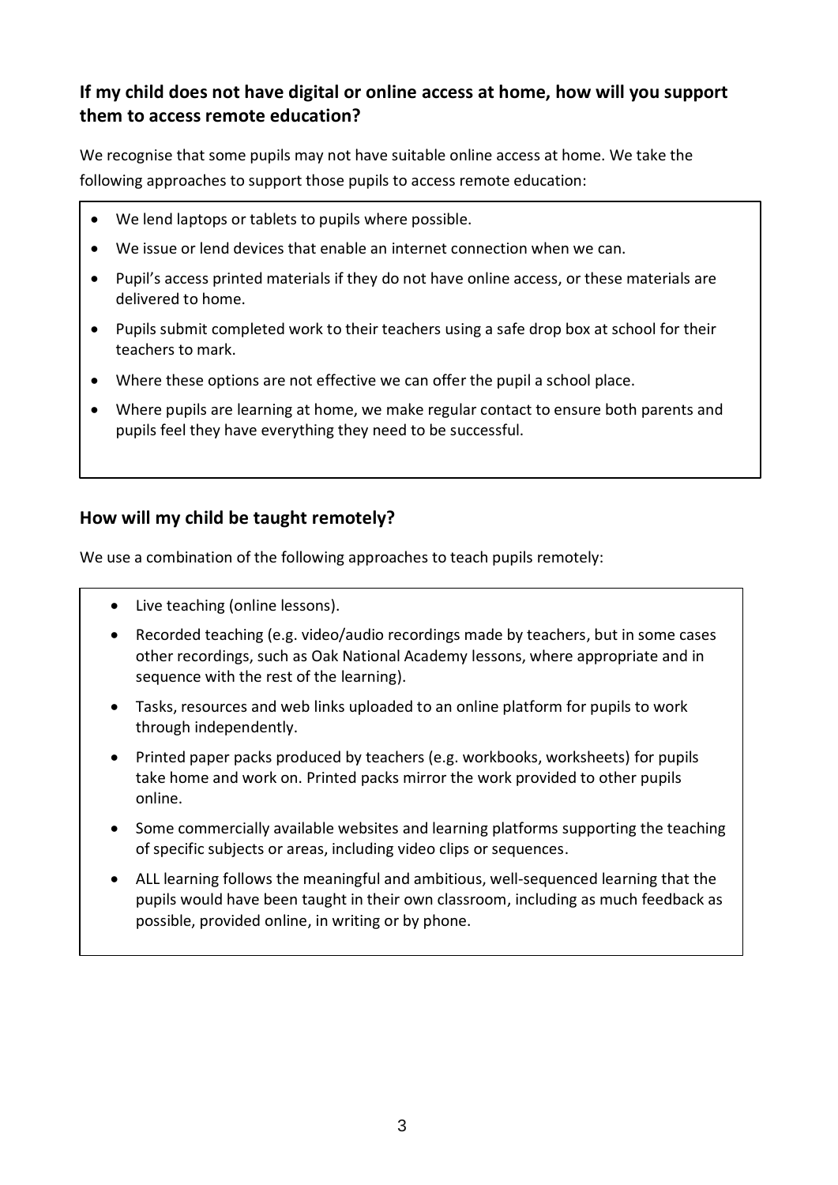### **If my child does not have digital or online access at home, how will you support them to access remote education?**

We recognise that some pupils may not have suitable online access at home. We take the following approaches to support those pupils to access remote education:

- We lend laptops or tablets to pupils where possible.
- We issue or lend devices that enable an internet connection when we can.
- Pupil's access printed materials if they do not have online access, or these materials are delivered to home.
- Pupils submit completed work to their teachers using a safe drop box at school for their teachers to mark.
- Where these options are not effective we can offer the pupil a school place.
- Where pupils are learning at home, we make regular contact to ensure both parents and pupils feel they have everything they need to be successful.

#### **How will my child be taught remotely?**

We use a combination of the following approaches to teach pupils remotely:

- Live teaching (online lessons).
- Recorded teaching (e.g. video/audio recordings made by teachers, but in some cases other recordings, such as Oak National Academy lessons, where appropriate and in sequence with the rest of the learning).
- Tasks, resources and web links uploaded to an online platform for pupils to work through independently.
- Printed paper packs produced by teachers (e.g. workbooks, worksheets) for pupils take home and work on. Printed packs mirror the work provided to other pupils online.
- Some commercially available websites and learning platforms supporting the teaching of specific subjects or areas, including video clips or sequences.
- ALL learning follows the meaningful and ambitious, well-sequenced learning that the pupils would have been taught in their own classroom, including as much feedback as possible, provided online, in writing or by phone.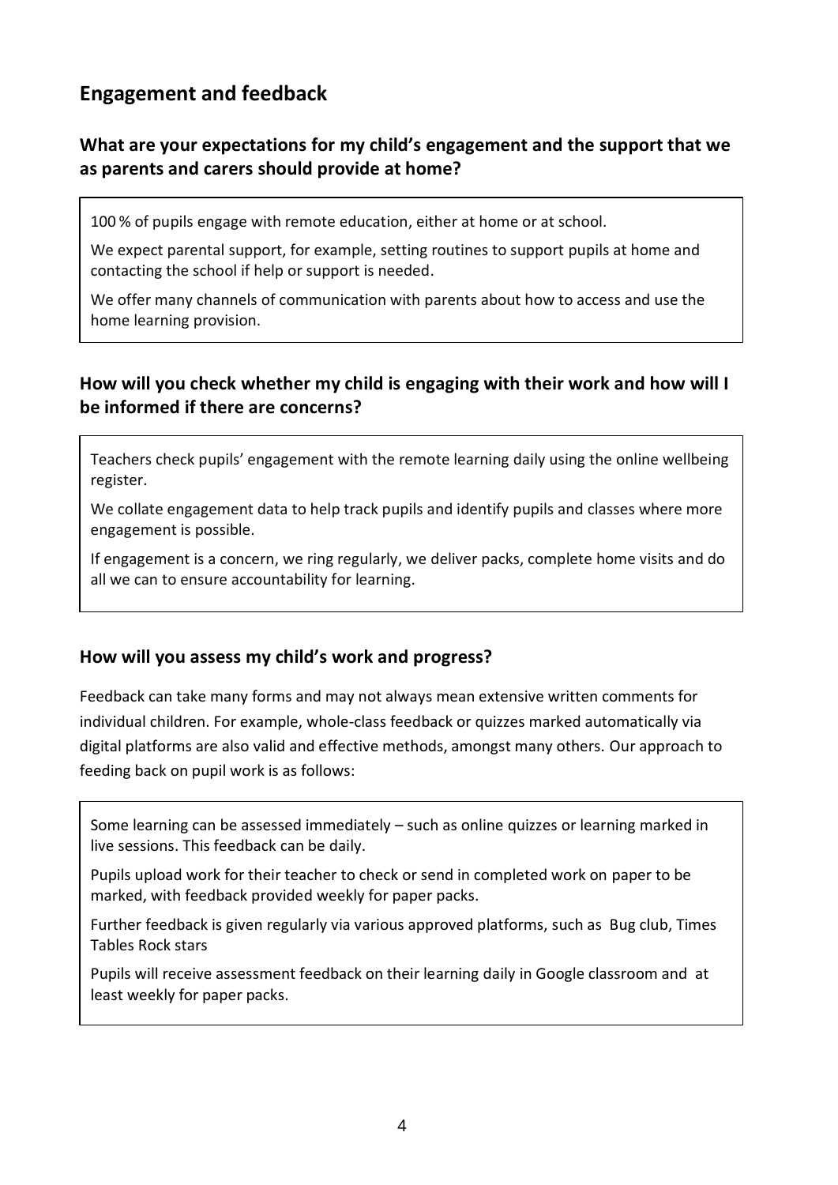# **Engagement and feedback**

### **What are your expectations for my child's engagement and the support that we as parents and carers should provide at home?**

100 % of pupils engage with remote education, either at home or at school.

We expect parental support, for example, setting routines to support pupils at home and contacting the school if help or support is needed.

We offer many channels of communication with parents about how to access and use the home learning provision.

### **How will you check whether my child is engaging with their work and how will I be informed if there are concerns?**

Teachers check pupils' engagement with the remote learning daily using the online wellbeing register.

We collate engagement data to help track pupils and identify pupils and classes where more engagement is possible.

If engagement is a concern, we ring regularly, we deliver packs, complete home visits and do all we can to ensure accountability for learning.

#### **How will you assess my child's work and progress?**

Feedback can take many forms and may not always mean extensive written comments for individual children. For example, whole-class feedback or quizzes marked automatically via digital platforms are also valid and effective methods, amongst many others. Our approach to feeding back on pupil work is as follows:

Some learning can be assessed immediately – such as online quizzes or learning marked in live sessions. This feedback can be daily.

Pupils upload work for their teacher to check or send in completed work on paper to be marked, with feedback provided weekly for paper packs.

Further feedback is given regularly via various approved platforms, such as Bug club, Times Tables Rock stars

Pupils will receive assessment feedback on their learning daily in Google classroom and at least weekly for paper packs.